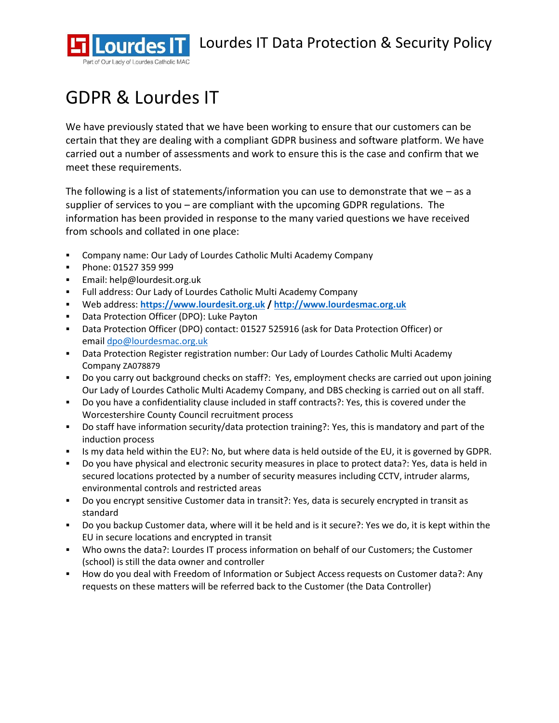

# GDPR & Lourdes IT

We have previously stated that we have been working to ensure that our customers can be certain that they are dealing with a compliant GDPR business and software platform. We have carried out a number of assessments and work to ensure this is the case and confirm that we meet these requirements.

The following is a list of statements/information you can use to demonstrate that we  $-$  as a supplier of services to you – are compliant with the upcoming GDPR regulations. The information has been provided in response to the many varied questions we have received from schools and collated in one place:

- Company name: Our Lady of Lourdes Catholic Multi Academy Company
- Phone: 01527 359 999
- Email: help@lourdesit.org.uk
- Full address: Our Lady of Lourdes Catholic Multi Academy Company
- Web address: **[https://www.lourdesit.org.uk](https://www.lourdesit.org.uk/) / [http://www.lourdesmac.org.uk](http://www.lourdesmac.org.uk/)**
- Data Protection Officer (DPO): Luke Payton
- Data Protection Officer (DPO) contact: 01527 525916 (ask for Data Protection Officer) or email [dpo@lourdesmac.org.uk](mailto:dpo@lourdesmac.org.uk)
- **Data Protection Register registration number: Our Lady of Lourdes Catholic Multi Academy** Company ZA078879
- Do you carry out background checks on staff?: Yes, employment checks are carried out upon joining Our Lady of Lourdes Catholic Multi Academy Company, and DBS checking is carried out on all staff.
- Do you have a confidentiality clause included in staff contracts?: Yes, this is covered under the Worcestershire County Council recruitment process
- Do staff have information security/data protection training?: Yes, this is mandatory and part of the induction process
- Is my data held within the EU?: No, but where data is held outside of the EU, it is governed by GDPR.
- Do you have physical and electronic security measures in place to protect data?: Yes, data is held in secured locations protected by a number of security measures including CCTV, intruder alarms, environmental controls and restricted areas
- Do you encrypt sensitive Customer data in transit?: Yes, data is securely encrypted in transit as standard
- Do you backup Customer data, where will it be held and is it secure?: Yes we do, it is kept within the EU in secure locations and encrypted in transit
- Who owns the data?: Lourdes IT process information on behalf of our Customers; the Customer (school) is still the data owner and controller
- **E** How do you deal with Freedom of Information or Subject Access requests on Customer data?: Any requests on these matters will be referred back to the Customer (the Data Controller)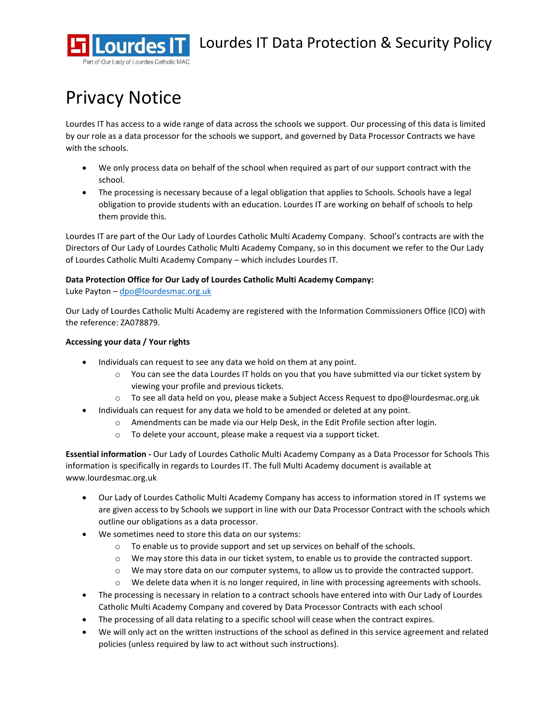

## Privacy Notice

Lourdes IT has access to a wide range of data across the schools we support. Our processing of this data is limited by our role as a data processor for the schools we support, and governed by Data Processor Contracts we have with the schools.

- We only process data on behalf of the school when required as part of our support contract with the school.
- The processing is necessary because of a legal obligation that applies to Schools. Schools have a legal obligation to provide students with an education. Lourdes IT are working on behalf of schools to help them provide this.

Lourdes IT are part of the Our Lady of Lourdes Catholic Multi Academy Company. School's contracts are with the Directors of Our Lady of Lourdes Catholic Multi Academy Company, so in this document we refer to the Our Lady of Lourdes Catholic Multi Academy Company – which includes Lourdes IT.

#### **Data Protection Office for Our Lady of Lourdes Catholic Multi Academy Company:**

Luke Payton - [dpo@lourdesmac.org.uk](mailto:dpo@lourdesmac.org.uk)

Our Lady of Lourdes Catholic Multi Academy are registered with the Information Commissioners Office (ICO) with the reference: ZA078879.

#### **Accessing your data / Your rights**

- Individuals can request to see any data we hold on them at any point.
	- $\circ$  You can see the data Lourdes IT holds on you that you have submitted via our ticket system by viewing your profile and previous tickets.
	- o To see all data held on you, please make a Subject Access Request to dpo@lourdesmac.org.uk
- Individuals can request for any data we hold to be amended or deleted at any point.
	- $\circ$  Amendments can be made via our Help Desk, in the Edit Profile section after login.
	- o To delete your account, please make a request via a support ticket.

**Essential information -** Our Lady of Lourdes Catholic Multi Academy Company as a Data Processor for Schools This information is specifically in regards to Lourdes IT. The full Multi Academy document is available at www.lourdesmac.org.uk

- Our Lady of Lourdes Catholic Multi Academy Company has access to information stored in IT systems we are given access to by Schools we support in line with our Data Processor Contract with the schools which outline our obligations as a data processor.
- We sometimes need to store this data on our systems:
	- $\circ$  To enable us to provide support and set up services on behalf of the schools.
	- $\circ$  We may store this data in our ticket system, to enable us to provide the contracted support.
	- o We may store data on our computer systems, to allow us to provide the contracted support.
	- o We delete data when it is no longer required, in line with processing agreements with schools.
- The processing is necessary in relation to a contract schools have entered into with Our Lady of Lourdes Catholic Multi Academy Company and covered by Data Processor Contracts with each school
- The processing of all data relating to a specific school will cease when the contract expires.
- We will only act on the written instructions of the school as defined in this service agreement and related policies (unless required by law to act without such instructions).